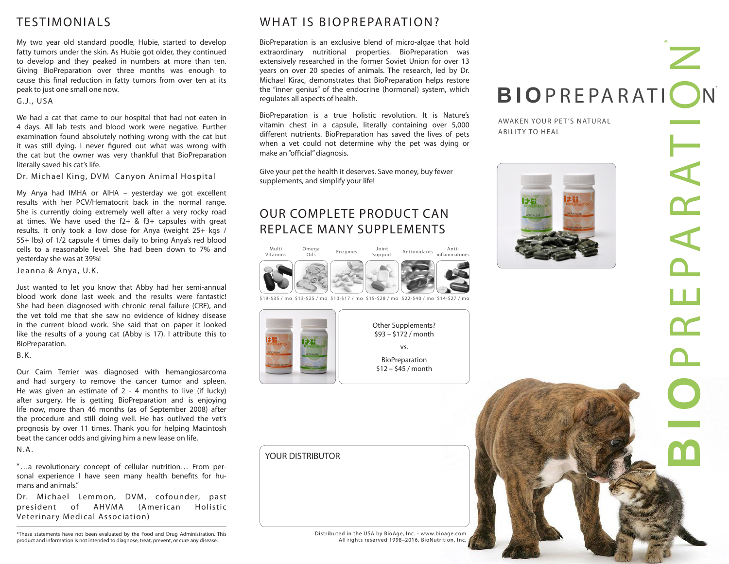# TESTIMONIALS

My two year old standard poodle, Hubie, started to develop fatty tumors under the skin. As Hubie got older, they continued to develop and they peaked in numbers at more than ten. Giving BioPreparation over three months was enough to cause this final reduction in fatty tumors from over ten at its peak to just one small one now.

#### G.J., USA

We had a cat that came to our hospital that had not eaten in 4 days. All lab tests and blood work were negative. Further examination found absolutely nothing wrong with the cat but it was still dying. I never figured out what was wrong with the cat but the owner was very thankful that BioPreparation literally saved his cat's life.

Dr. Michael King, DVM Canyon Animal Hospital

My Anya had IMHA or AIHA – yesterday we got excellent results with her PCV/Hematocrit back in the normal range. She is currently doing extremely well after a very rocky road at times. We have used the  $f2+ 8f3+ 2f3f$  capsules with great results. It only took a low dose for Anya (weight 25+ kgs / 55+ lbs) of 1/2 capsule 4 times daily to bring Anya's red blood cells to a reasonable level. She had been down to 7% and yesterday she was at 39%!

Jeanna & Anya, U.K.

Just wanted to let you know that Abby had her semi-annual blood work done last week and the results were fantastic! She had been diagnosed with chronic renal failure (CRF), and the vet told me that she saw no evidence of kidney disease in the current blood work. She said that on paper it looked like the results of a young cat (Abby is 17). I attribute this to BioPreparation.

 $B.K.$ 

Our Cairn Terrier was diagnosed with hemangiosarcoma and had surgery to remove the cancer tumor and spleen. He was given an estimate of 2 - 4 months to live (if lucky) after surgery. He is getting BioPreparation and is enjoying life now, more than 46 months (as of September 2008) after the procedure and still doing well. He has outlived the vet's prognosis by over 11 times. Thank you for helping Macintosh beat the cancer odds and giving him a new lease on life. N.A.

"…a revolutionary concept of cellular nutrition… From personal experience I have seen many health benefits for humans and animals."

Dr. Michael Lemmon, DVM, cofounder, past president of AHVMA (American Holistic Veterinary Medical Association)

\*These statements have not been evaluated by the Food and Drug Administration. This product and information is not intended to diagnose, treat, prevent, or cure any disease.

#### WHAT IS BIOPREPARATION?

BioPreparation is an exclusive blend of micro-algae that hold extraordinary nutritional properties. BioPreparation was extensively researched in the former Soviet Union for over 13 years on over 20 species of animals. The research, led by Dr. Michael Kirac, demonstrates that BioPreparation helps restore the "inner genius" of the endocrine (hormonal) system, which regulates all aspects of health.

BioPreparation is a true holistic revolution. It is Nature's vitamin chest in a capsule, literally containing over 5,000 different nutrients. BioPreparation has saved the lives of pets when a vet could not determine why the pet was dying or make an "official" diagnosis.

Give your pet the health it deserves. Save money, buy fewer supplements, and simplify your life!

# OUR COMPLETE PRODUCT CAN REPLACE MANY SUPPLEMENTS



\$19-\$35 / mo \$13-\$25 / mo \$10-\$17 / mo \$15-\$28 / mo \$22-\$40 / mo \$14-\$27 / mo



YOUR DISTRIBUTOR

Distributed in the USA by BioAge, Inc. - www.bioage.com All rights reserved 1998–2016, BioNutrition, Inc.

# **BIOPREPARATION** ®

AWAKEN YOUR PET'S NATURAL ABILITY TO HEAL